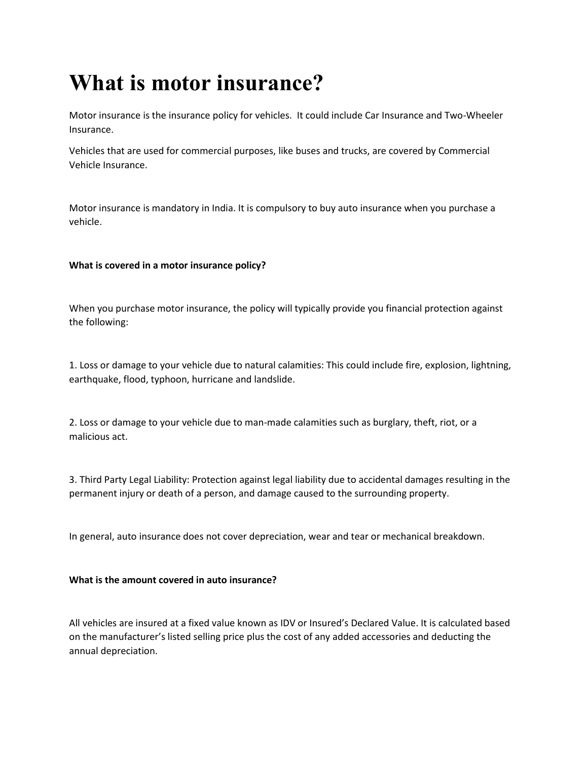# **What is motor insurance?**

Motor insurance is the insurance policy for vehicles. It could include Car Insurance and Two-Wheeler Insurance.

Vehicles that are used for commercial purposes, like buses and trucks, are covered by Commercial Vehicle Insurance.

Motor insurance is mandatory in India. It is compulsory to buy auto insurance when you purchase a vehicle.

## **What is covered in a motor insurance policy?**

When you purchase motor insurance, the policy will typically provide you financial protection against the following:

1. Loss or damage to your vehicle due to natural calamities: This could include fire, explosion, lightning, earthquake, flood, typhoon, hurricane and landslide.

2. Loss or damage to your vehicle due to man-made calamities such as burglary, theft, riot, or a malicious act.

3. Third Party Legal Liability: Protection against legal liability due to accidental damages resulting in the permanent injury or death of a person, and damage caused to the surrounding property.

In general, auto insurance does not cover depreciation, wear and tear or mechanical breakdown.

## **What is the amount covered in auto insurance?**

All vehicles are insured at a fixed value known as IDV or Insured's Declared Value. It is calculated based on the manufacturer's listed selling price plus the cost of any added accessories and deducting the annual depreciation.